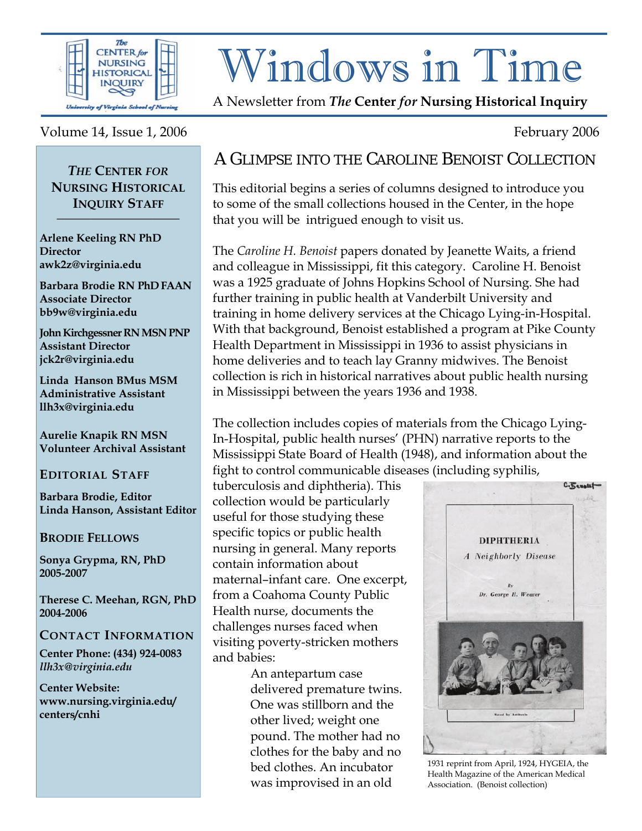

# Windows in Time

A Newsletter from *The* **Center** *for* **Nursing Historical Inquiry** 

#### Volume 14, Issue 1, 2006 February 2006

#### *THE* **CENTER** *FOR* **NURSING HISTORICAL INQUIRY STAFF \_\_\_\_\_\_\_\_\_\_\_\_\_\_\_\_\_\_**

**Arlene Keeling RN PhD Director awk2z@virginia.edu** 

**Barbara Brodie RN PhD FAAN Associate Director bb9w@virginia.edu**

**John Kirchgessner RN MSN PNP Assistant Director jck2r@virginia.edu** 

**Linda Hanson BMus MSM Administrative Assistant llh3x@virginia.edu** 

**Aurelie Knapik RN MSN Volunteer Archival Assistant** 

#### **EDITORIAL STAFF**

**Barbara Brodie, Editor Linda Hanson, Assistant Editor** 

#### **BRODIE FELLOWS**

**Sonya Grypma, RN, PhD 2005-2007** 

**Therese C. Meehan, RGN, PhD 2004-2006** 

#### **CONTACT INFORMATION**

**Center Phone: (434) 924-0083**  *llh3x@virginia.edu* 

**Center Website: www.nursing.virginia.edu/ centers/cnhi**

## A GLIMPSE INTO THE CAROLINE BENOIST COLLECTION

This editorial begins a series of columns designed to introduce you to some of the small collections housed in the Center, in the hope

that you will be intrigued enough to visit us.

The *Caroline H. Benoist* papers donated by Jeanette Waits, a friend and colleague in Mississippi, fit this category. Caroline H. Benoist was a 1925 graduate of Johns Hopkins School of Nursing. She had further training in public health at Vanderbilt University and training in home delivery services at the Chicago Lying-in-Hospital. With that background, Benoist established a program at Pike County Health Department in Mississippi in 1936 to assist physicians in home deliveries and to teach lay Granny midwives. The Benoist collection is rich in historical narratives about public health nursing in Mississippi between the years 1936 and 1938.

The collection includes copies of materials from the Chicago Lying-In-Hospital, public health nurses' (PHN) narrative reports to the Mississippi State Board of Health (1948), and information about the fight to control communicable diseases (including syphilis,

tuberculosis and diphtheria). This collection would be particularly useful for those studying these specific topics or public health nursing in general. Many reports contain information about maternal–infant care. One excerpt, from a Coahoma County Public Health nurse, documents the challenges nurses faced when visiting poverty-stricken mothers and babies:

> An antepartum case delivered premature twins. One was stillborn and the other lived; weight one pound. The mother had no clothes for the baby and no bed clothes. An incubator was improvised in an old



1931 reprint from April, 1924, HYGEIA, the Health Magazine of the American Medical Association. (Benoist collection)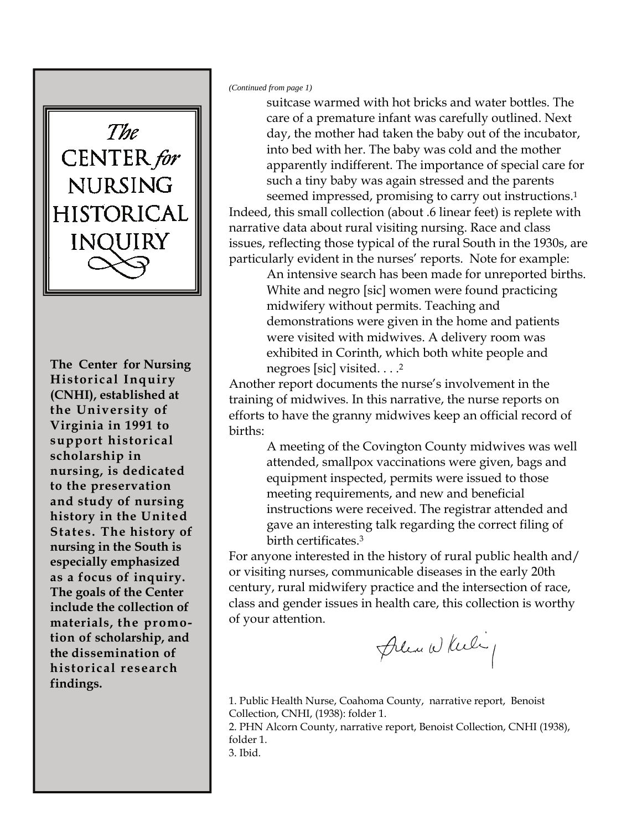

**The Center for Nursing as a focus of inquiry. Historical Inquiry The goals of the Center (CNHI), established at include the collection of the University of materials, the promo-Virginia in 1991 to tion of scholarship, and support historical the dissemination of scholarship in historical research nursing, is dedicated findings. to the preservation and study of nursing history in the United States. The history of nursing in the South is especially emphasized as a focus of inquiry. The goals of the Center include the collection of materials, the promotion of scholarship, and the dissemination of historical research findings.** 

*(Continued from page 1)* 

suitcase warmed with hot bricks and water bottles. The care of a premature infant was carefully outlined. Next day, the mother had taken the baby out of the incubator, into bed with her. The baby was cold and the mother apparently indifferent. The importance of special care for such a tiny baby was again stressed and the parents seemed impressed, promising to carry out instructions.<sup>1</sup> Indeed, this small collection (about .6 linear feet) is replete with narrative data about rural visiting nursing. Race and class issues, reflecting those typical of the rural South in the 1930s, are particularly evident in the nurses' reports. Note for example:

An intensive search has been made for unreported births. White and negro [sic] women were found practicing midwifery without permits. Teaching and demonstrations were given in the home and patients were visited with midwives. A delivery room was exhibited in Corinth, which both white people and negroes [sic] visited. . . .2

Another report documents the nurse's involvement in the training of midwives. In this narrative, the nurse reports on efforts to have the granny midwives keep an official record of births:

> A meeting of the Covington County midwives was well attended, smallpox vaccinations were given, bags and equipment inspected, permits were issued to those meeting requirements, and new and beneficial instructions were received. The registrar attended and gave an interesting talk regarding the correct filing of birth certificates.3

For anyone interested in the history of rural public health and/ or visiting nurses, communicable diseases in the early 20th century, rural midwifery practice and the intersection of race, class and gender issues in health care, this collection is worthy of your attention.

Please While

1. Public Health Nurse, Coahoma County, narrative report, Benoist Collection, CNHI, (1938): folder 1. 2. PHN Alcorn County, narrative report, Benoist Collection, CNHI (1938), folder 1. 3. Ibid.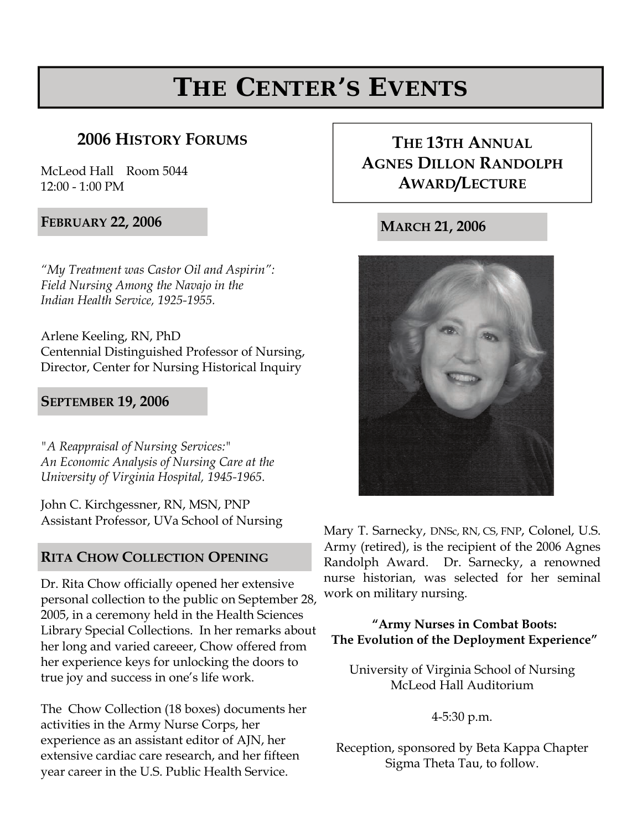## **THE CENTER'S EVENTS**

## **2006 HISTORY FORUMS THE 13TH ANNUAL**

McLeod Hall Room 5044 12:00 - 1:00 PM

**FEBRUARY 22, 2006** 

*"My Treatment was Castor Oil and Aspirin": Field Nursing Among the Navajo in the Indian Health Service, 1925-1955.* 

Arlene Keeling, RN, PhD Centennial Distinguished Professor of Nursing, Director, Center for Nursing Historical Inquiry

#### **SEPTEMBER 19, 2006**

*"A Reappraisal of Nursing Services:" An Economic Analysis of Nursing Care at the University of Virginia Hospital, 1945-1965.* 

John C. Kirchgessner, RN, MSN, PNP Assistant Professor, UVa School of Nursing

#### **RITA CHOW COLLECTION OPENING**

Dr. Rita Chow officially opened her extensive personal collection to the public on September 28, 2005, in a ceremony held in the Health Sciences Library Special Collections. In her remarks about her long and varied careeer, Chow offered from her experience keys for unlocking the doors to true joy and success in one's life work.

The Chow Collection (18 boxes) documents her activities in the Army Nurse Corps, her experience as an assistant editor of AJN, her extensive cardiac care research, and her fifteen year career in the U.S. Public Health Service.

## **AGNES DILLON RANDOLPH AWARD/LECTURE**

**MARCH 21, 2006** 



Mary T. Sarnecky, DNSc, RN, CS, FNP, Colonel, U.S. Army (retired), is the recipient of the 2006 Agnes Randolph Award. Dr. Sarnecky, a renowned nurse historian, was selected for her seminal work on military nursing.

#### **"Army Nurses in Combat Boots: The Evolution of the Deployment Experience"**

University of Virginia School of Nursing McLeod Hall Auditorium

4-5:30 p.m.

Reception, sponsored by Beta Kappa Chapter Sigma Theta Tau, to follow.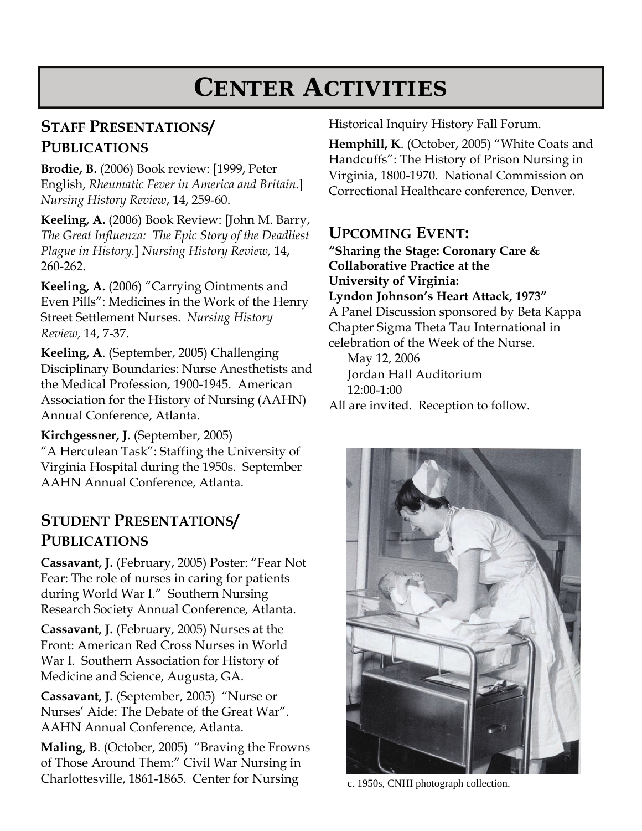## **CENTER ACTIVITIES**

## **STAFF PRESENTATIONS/ PUBLICATIONS**

**Brodie, B.** (2006) Book review: [1999, Peter English, *Rheumatic Fever in America and Britain.*] *Nursing History Review*, 14, 259-60.

**Keeling, A.** (2006) Book Review: [John M. Barry, *The Great Influenza: The Epic Story of the Deadliest Plague in History.*] *Nursing History Review,* 14, 260-262.

**Keeling, A.** (2006) "Carrying Ointments and Even Pills": Medicines in the Work of the Henry Street Settlement Nurses. *Nursing History Review,* 14, 7-37.

**Keeling, A**. (September, 2005) Challenging Disciplinary Boundaries: Nurse Anesthetists and the Medical Profession, 1900-1945. American Association for the History of Nursing (AAHN) Annual Conference, Atlanta.

**Kirchgessner, J.** (September, 2005) "A Herculean Task": Staffing the University of Virginia Hospital during the 1950s. September AAHN Annual Conference, Atlanta.

## **STUDENT PRESENTATIONS/ PUBLICATIONS**

**Cassavant, J.** (February, 2005) Poster: "Fear Not Fear: The role of nurses in caring for patients during World War I." Southern Nursing Research Society Annual Conference, Atlanta.

**Cassavant, J.** (February, 2005) Nurses at the Front: American Red Cross Nurses in World War I. Southern Association for History of Medicine and Science, Augusta, GA.

**Cassavant, J.** (September, 2005) "Nurse or Nurses' Aide: The Debate of the Great War". AAHN Annual Conference, Atlanta.

**Maling, B**. (October, 2005) "Braving the Frowns of Those Around Them:" Civil War Nursing in Charlottesville, 1861-1865. Center for Nursing

Historical Inquiry History Fall Forum.

**Hemphill, K**. (October, 2005) "White Coats and Handcuffs": The History of Prison Nursing in Virginia, 1800-1970. National Commission on Correctional Healthcare conference, Denver.

## **UPCOMING EVENT:**

**"Sharing the Stage: Coronary Care & Collaborative Practice at the University of Virginia: Lyndon Johnson's Heart Attack, 1973"**  A Panel Discussion sponsored by Beta Kappa Chapter Sigma Theta Tau International in celebration of the Week of the Nurse.

May 12, 2006 Jordan Hall Auditorium 12:00-1:00

All are invited. Reception to follow.



c. 1950s, CNHI photograph collection.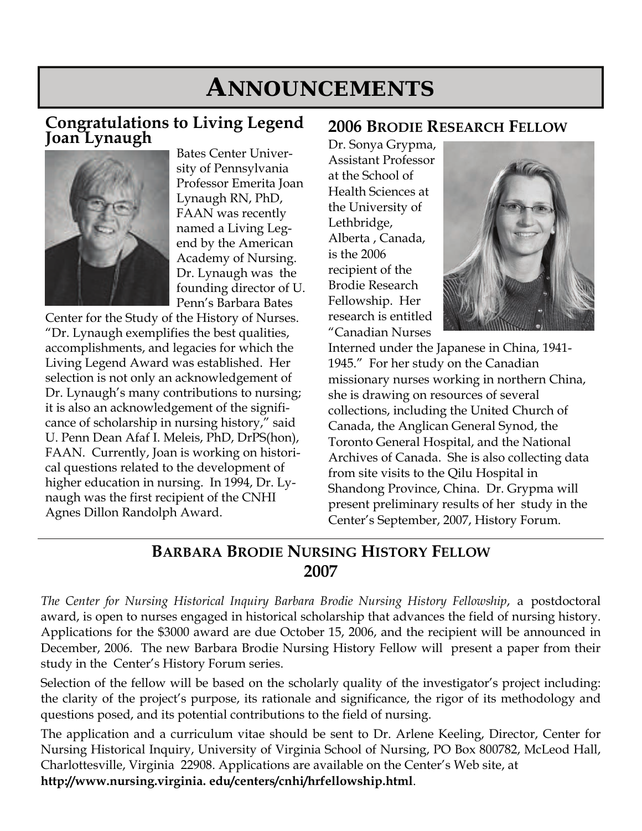## **ANNOUNCEMENTS**

### **Congratulations to Living Legend Joan Lynaugh**



Bates Center University of Pennsylvania Professor Emerita Joan Lynaugh RN, PhD, FAAN was recently named a Living Legend by the American Academy of Nursing. Dr. Lynaugh was the founding director of U. Penn's Barbara Bates

Center for the Study of the History of Nurses. "Dr. Lynaugh exemplifies the best qualities, accomplishments, and legacies for which the Living Legend Award was established. Her selection is not only an acknowledgement of Dr. Lynaugh's many contributions to nursing; it is also an acknowledgement of the significance of scholarship in nursing history," said U. Penn Dean Afaf I. Meleis, PhD, DrPS(hon), FAAN. Currently, Joan is working on historical questions related to the development of higher education in nursing. In 1994, Dr. Lynaugh was the first recipient of the CNHI Agnes Dillon Randolph Award.

## **2006 BRODIE RESEARCH FELLOW**

Dr. Sonya Grypma, Assistant Professor at the School of Health Sciences at the University of Lethbridge, Alberta , Canada, is the 2006 recipient of the Brodie Research Fellowship. Her research is entitled "Canadian Nurses



Interned under the Japanese in China, 1941- 1945." For her study on the Canadian missionary nurses working in northern China, she is drawing on resources of several collections, including the United Church of Canada, the Anglican General Synod, the Toronto General Hospital, and the National Archives of Canada. She is also collecting data from site visits to the Qilu Hospital in Shandong Province, China. Dr. Grypma will present preliminary results of her study in the Center's September, 2007, History Forum.

## **BARBARA BRODIE NURSING HISTORY FELLOW 2007**

*The Center for Nursing Historical Inquiry Barbara Brodie Nursing History Fellowship*, a postdoctoral award, is open to nurses engaged in historical scholarship that advances the field of nursing history. Applications for the \$3000 award are due October 15, 2006, and the recipient will be announced in December, 2006. The new Barbara Brodie Nursing History Fellow will present a paper from their study in the Center's History Forum series.

Selection of the fellow will be based on the scholarly quality of the investigator's project including: the clarity of the project's purpose, its rationale and significance, the rigor of its methodology and questions posed, and its potential contributions to the field of nursing.

The application and a curriculum vitae should be sent to Dr. Arlene Keeling, Director, Center for Nursing Historical Inquiry, University of Virginia School of Nursing, PO Box 800782, McLeod Hall, Charlottesville, Virginia 22908. Applications are available on the Center's Web site, at **http://www.nursing.virginia. edu/centers/cnhi/hrfellowship.html**.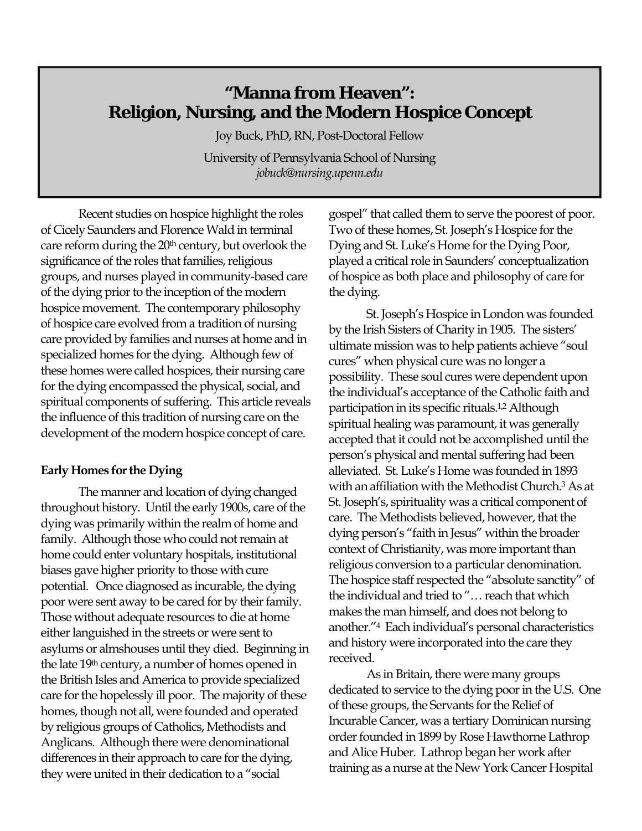## **"Manna from Heaven": Religion, Nursing, and the Modern Hospice Concept**

Joy Buck, PhD, RN, Post-Doctoral Fellow University of Pennsylvania School of Nursing *jobuck@nursing.upenn.edu*

 Recent studies on hospice highlight the roles of Cicely Saunders and Florence Wald in terminal care reform during the 20<sup>th</sup> century, but overlook the significance of the roles that families, religious groups, and nurses played in community-based care of the dying prior to the inception of the modern hospice movement. The contemporary philosophy of hospice care evolved from a tradition of nursing care provided by families and nurses at home and in specialized homes for the dying. Although few of these homes were called hospices, their nursing care for the dying encompassed the physical, social, and spiritual components of suffering. This article reveals the influence of this tradition of nursing care on the development of the modern hospice concept of care.

#### **Early Homes for the Dying**

 The manner and location of dying changed throughout history. Until the early 1900s, care of the dying was primarily within the realm of home and family. Although those who could not remain at home could enter voluntary hospitals, institutional biases gave higher priority to those with cure potential. Once diagnosed as incurable, the dying poor were sent away to be cared for by their family. Those without adequate resources to die at home either languished in the streets or were sent to asylums or almshouses until they died. Beginning in the late 19th century, a number of homes opened in the British Isles and America to provide specialized care for the hopelessly ill poor. The majority of these homes, though not all, were founded and operated by religious groups of Catholics, Methodists and Anglicans. Although there were denominational differences in their approach to care for the dying, they were united in their dedication to a "social

gospel" that called them to serve the poorest of poor. Two of these homes, St. Joseph's Hospice for the Dying and St. Luke's Home for the Dying Poor, played a critical role in Saunders' conceptualization of hospice as both place and philosophy of care for the dying.

 St. Joseph's Hospice in London was founded by the Irish Sisters of Charity in 1905. The sisters' ultimate mission was to help patients achieve "soul cures" when physical cure was no longer a possibility. These soul cures were dependent upon the individual's acceptance of the Catholic faith and participation in its specific rituals.1,2 Although spiritual healing was paramount, it was generally accepted that it could not be accomplished until the person's physical and mental suffering had been alleviated. St. Luke's Home was founded in 1893 with an affiliation with the Methodist Church.3 As at St. Joseph's, spirituality was a critical component of care. The Methodists believed, however, that the dying person's "faith in Jesus" within the broader context of Christianity, was more important than religious conversion to a particular denomination. The hospice staff respected the "absolute sanctity" of the individual and tried to "… reach that which makes the man himself, and does not belong to another."4 Each individual's personal characteristics and history were incorporated into the care they received.

 As in Britain, there were many groups dedicated to service to the dying poor in the U.S. One of these groups, the Servants for the Relief of Incurable Cancer, was a tertiary Dominican nursing order founded in 1899 by Rose Hawthorne Lathrop and Alice Huber. Lathrop began her work after training as a nurse at the New York Cancer Hospital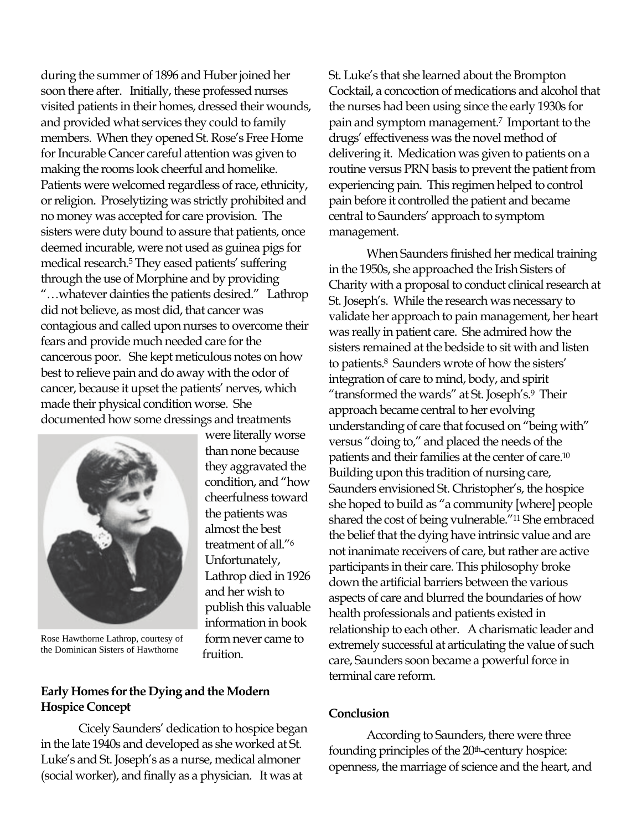during the summer of 1896 and Huber joined her soon there after. Initially, these professed nurses visited patients in their homes, dressed their wounds, and provided what services they could to family members. When they opened St. Rose's Free Home for Incurable Cancer careful attention was given to making the rooms look cheerful and homelike. Patients were welcomed regardless of race, ethnicity, or religion. Proselytizing was strictly prohibited and no money was accepted for care provision. The sisters were duty bound to assure that patients, once deemed incurable, were not used as guinea pigs for medical research.5 They eased patients' suffering through the use of Morphine and by providing "…whatever dainties the patients desired." Lathrop did not believe, as most did, that cancer was contagious and called upon nurses to overcome their fears and provide much needed care for the cancerous poor. She kept meticulous notes on how best to relieve pain and do away with the odor of cancer, because it upset the patients' nerves, which made their physical condition worse. She documented how some dressings and treatments



were literally worse than none because they aggravated the condition, and "how cheerfulness toward the patients was almost the best treatment of all."6 Unfortunately, Lathrop died in 1926 and her wish to publish this valuable information in book form never came to fruition.

Rose Hawthorne Lathrop, courtesy of the Dominican Sisters of Hawthorne

#### **Early Homes for the Dying and the Modern Hospice Concept**

 Cicely Saunders' dedication to hospice began in the late 1940s and developed as she worked at St. Luke's and St. Joseph's as a nurse, medical almoner (social worker), and finally as a physician. It was at

St. Luke's that she learned about the Brompton Cocktail, a concoction of medications and alcohol that the nurses had been using since the early 1930s for pain and symptom management.7 Important to the drugs' effectiveness was the novel method of delivering it. Medication was given to patients on a routine versus PRN basis to prevent the patient from experiencing pain. This regimen helped to control pain before it controlled the patient and became central to Saunders' approach to symptom management.

 When Saunders finished her medical training in the 1950s, she approached the Irish Sisters of Charity with a proposal to conduct clinical research at St. Joseph's. While the research was necessary to validate her approach to pain management, her heart was really in patient care. She admired how the sisters remained at the bedside to sit with and listen to patients.8 Saunders wrote of how the sisters' integration of care to mind, body, and spirit "transformed the wards" at St. Joseph's.9 Their approach became central to her evolving understanding of care that focused on "being with" versus "doing to," and placed the needs of the patients and their families at the center of care.10 Building upon this tradition of nursing care, Saunders envisioned St. Christopher's, the hospice she hoped to build as "a community [where] people shared the cost of being vulnerable."11 She embraced the belief that the dying have intrinsic value and are not inanimate receivers of care, but rather are active participants in their care. This philosophy broke down the artificial barriers between the various aspects of care and blurred the boundaries of how health professionals and patients existed in relationship to each other. A charismatic leader and extremely successful at articulating the value of such care, Saunders soon became a powerful force in terminal care reform.

#### **Conclusion**

According to Saunders, there were three founding principles of the 20<sup>th</sup>-century hospice: openness, the marriage of science and the heart, and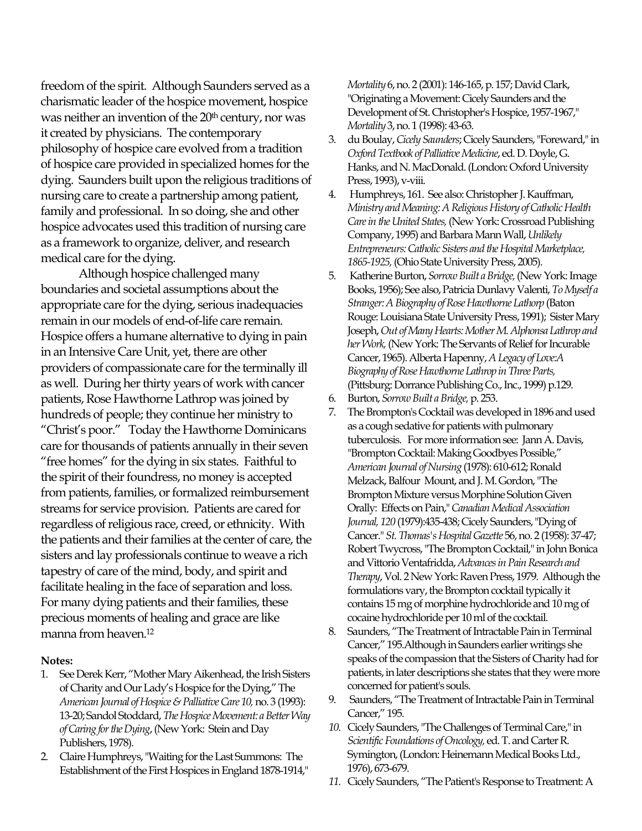freedom of the spirit. Although Saunders served as a charismatic leader of the hospice movement, hospice was neither an invention of the  $20<sup>th</sup>$  century, nor was it created by physicians. The contemporary philosophy of hospice care evolved from a tradition of hospice care provided in specialized homes for the dying. Saunders built upon the religious traditions of nursing care to create a partnership among patient, family and professional. In so doing, she and other hospice advocates used this tradition of nursing care as a framework to organize, deliver, and research medical care for the dying.

 Although hospice challenged many boundaries and societal assumptions about the appropriate care for the dying, serious inadequacies remain in our models of end-of-life care remain. Hospice offers a humane alternative to dying in pain in an Intensive Care Unit, yet, there are other providers of compassionate care for the terminally ill as well. During her thirty years of work with cancer patients, Rose Hawthorne Lathrop was joined by hundreds of people; they continue her ministry to "Christ's poor." Today the Hawthorne Dominicans care for thousands of patients annually in their seven "free homes" for the dying in six states. Faithful to the spirit of their foundress, no money is accepted from patients, families, or formalized reimbursement streams for service provision. Patients are cared for regardless of religious race, creed, or ethnicity. With the patients and their families at the center of care, the sisters and lay professionals continue to weave a rich tapestry of care of the mind, body, and spirit and facilitate healing in the face of separation and loss. For many dying patients and their families, these precious moments of healing and grace are like manna from heaven.12

#### **Notes:**

- 1. See Derek Kerr, "Mother Mary Aikenhead, the Irish Sisters of Charity and Our Lady's Hospice for the Dying," The *American Journal of Hospice & Palliative Care 10,* no. 3 (1993): 13-20; Sandol Stoddard, *The Hospice Movement: a Better Way of Caring for the Dying*, (New York: Stein and Day Publishers, 1978).
- 2. Claire Humphreys, "Waiting for the Last Summons: The Establishment of the First Hospices in England 1878-1914,"

*Mortality* 6, no. 2 (2001): 146-165, p. 157; David Clark, "Originating a Movement: Cicely Saunders and the Development of St. Christopher's Hospice, 1957-1967," *Mortality* 3, no. 1 (1998): 43-63.

- 3. du Boulay, *Cicely Saunders*; Cicely Saunders, "Foreward," in *Oxford Textbook of Palliative Medicine*, ed. D. Doyle, G. Hanks, and N. MacDonald. (London: Oxford University Press, 1993), v-viii.
- 4. Humphreys, 161. See also: Christopher J. Kauffman, *Ministry and Meaning: A Religious History of Catholic Health Care in the United States,* (New York: Crossroad Publishing Company, 1995) and Barbara Mann Wall, *Unlikely Entrepreneurs: Catholic Sisters and the Hospital Marketplace, 1865-1925,* (Ohio State University Press, 2005).
- 5. Katherine Burton, *Sorrow Built a Bridge,* (New York: Image Books, 1956); See also, Patricia Dunlavy Valenti, *To Myself a Stranger: A Biography of Rose Hawthorne Lathorp* (Baton Rouge: Louisiana State University Press, 1991); Sister Mary Joseph, *Out of Many Hearts: Mother M. Alphonsa Lathrop and her Work,* (New York: The Servants of Relief for Incurable Cancer, 1965). Alberta Hapenny, *A Legacy of Love:A Biography of Rose Hawthorne Lathrop in Three Parts,* (Pittsburg: Dorrance Publishing Co., Inc., 1999) p.129.
- 6. Burton, *Sorrow Built a Bridge,* p. 253.
- 7. The Brompton's Cocktail was developed in 1896 and used as a cough sedative for patients with pulmonary tuberculosis. For more information see: Jann A. Davis, "Brompton Cocktail: Making Goodbyes Possible," *American Journal of Nursing* (1978): 610-612; Ronald Melzack, Balfour Mount, and J. M. Gordon, "The Brompton Mixture versus Morphine Solution Given Orally: Effects on Pain," *Canadian Medical Association Journal, 120* (1979):435-438; Cicely Saunders, "Dying of Cancer." *St. Thomas's Hospital Gazette* 56, no. 2 (1958): 37-47; Robert Twycross, "The Brompton Cocktail," in John Bonica and Vittorio Ventafridda, *Advances in Pain Research and Therapy*, Vol. 2 New York: Raven Press, 1979. Although the formulations vary, the Brompton cocktail typically it contains 15 mg of morphine hydrochloride and 10 mg of cocaine hydrochloride per 10 ml of the cocktail.
- 8. Saunders, "The Treatment of Intractable Pain in Terminal Cancer," 195.Although in Saunders earlier writings she speaks of the compassion that the Sisters of Charity had for patients, in later descriptions she states that they were more concerned for patient's souls.
- 9. Saunders, "The Treatment of Intractable Pain in Terminal Cancer," 195.
- *10.* Cicely Saunders, "The Challenges of Terminal Care," in *Scientific Foundations of Oncology,* ed. T. and Carter R. Symington, (London: Heinemann Medical Books Ltd., 1976), 673-679.
- *11.* Cicely Saunders, "The Patient's Response to Treatment: A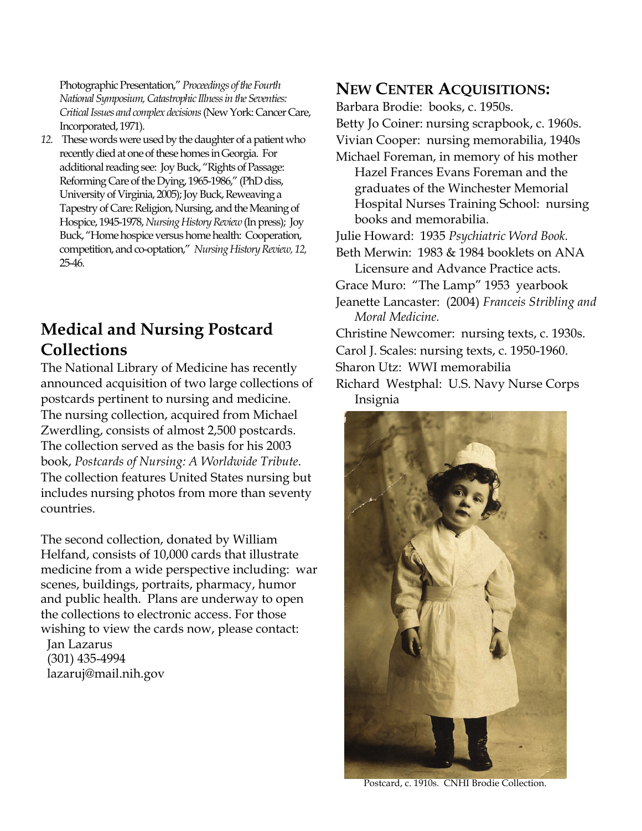Photographic Presentation," *Proceedings of the Fourth National Symposium, Catastrophic Illness in the Seventies: Critical Issues and complex decisions* (New York: Cancer Care, Incorporated, 1971).

*12.* These words were used by the daughter of a patient who recently died at one of these homes in Georgia. For additional reading see: Joy Buck, "Rights of Passage: Reforming Care of the Dying, 1965-1986," (PhD diss, University of Virginia, 2005); Joy Buck, Reweaving a Tapestry of Care: Religion, Nursing, and the Meaning of Hospice, 1945-1978, *Nursing History Review* (In press); Joy Buck, "Home hospice versus home health: Cooperation, competition, and co-optation," *Nursing History Review, 12,*  25-46*.* 

## **Medical and Nursing Postcard Collections**

The National Library of Medicine has recently announced acquisition of two large collections of postcards pertinent to nursing and medicine. The nursing collection, acquired from Michael Zwerdling, consists of almost 2,500 postcards. The collection served as the basis for his 2003 book, *Postcards of Nursing: A Worldwide Tribute*. The collection features United States nursing but includes nursing photos from more than seventy countries.

The second collection, donated by William Helfand, consists of 10,000 cards that illustrate medicine from a wide perspective including: war scenes, buildings, portraits, pharmacy, humor and public health. Plans are underway to open the collections to electronic access. For those wishing to view the cards now, please contact:

 Jan Lazarus (301) 435-4994 lazaruj@mail.nih.gov

### **NEW CENTER ACQUISITIONS:**

Barbara Brodie: books, c. 1950s. Betty Jo Coiner: nursing scrapbook, c. 1960s. Vivian Cooper: nursing memorabilia, 1940s Michael Foreman, in memory of his mother Hazel Frances Evans Foreman and the graduates of the Winchester Memorial Hospital Nurses Training School: nursing books and memorabilia. Julie Howard: 1935 *Psychiatric Word Book.*  Beth Merwin: 1983 & 1984 booklets on ANA Licensure and Advance Practice acts. Grace Muro: "The Lamp" 1953 yearbook Jeanette Lancaster: (2004) *Franceis Stribling and Moral Medicine.*  Christine Newcomer: nursing texts, c. 1930s. Carol J. Scales: nursing texts, c. 1950-1960. Sharon Utz: WWI memorabilia Richard Westphal: U.S. Navy Nurse Corps Insignia



Postcard, c. 1910s. CNHI Brodie Collection.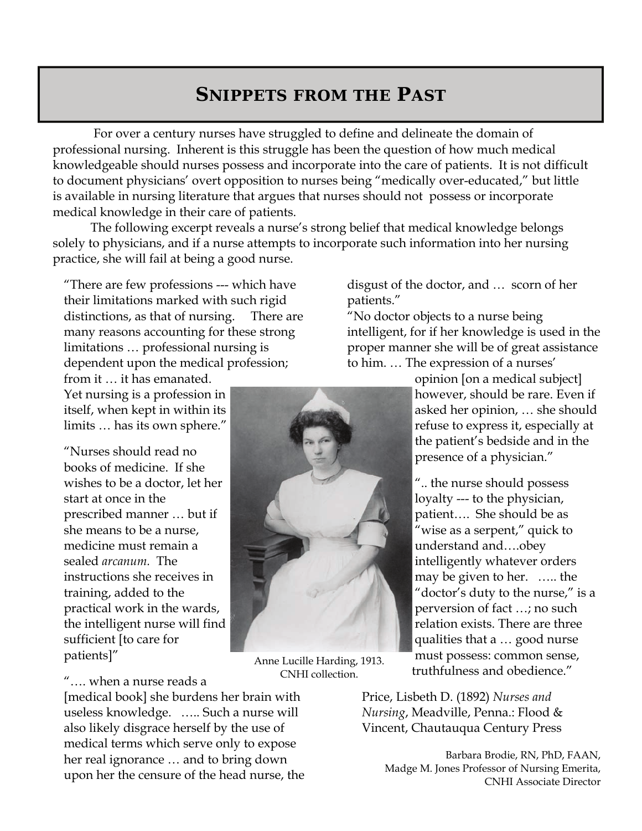## **SNIPPETS FROM THE PAST**

 For over a century nurses have struggled to define and delineate the domain of professional nursing. Inherent is this struggle has been the question of how much medical knowledgeable should nurses possess and incorporate into the care of patients. It is not difficult to document physicians' overt opposition to nurses being "medically over-educated," but little is available in nursing literature that argues that nurses should not possess or incorporate medical knowledge in their care of patients.

The following excerpt reveals a nurse's strong belief that medical knowledge belongs solely to physicians, and if a nurse attempts to incorporate such information into her nursing practice, she will fail at being a good nurse.

"There are few professions --- which have their limitations marked with such rigid distinctions, as that of nursing. There are many reasons accounting for these strong limitations … professional nursing is dependent upon the medical profession;

from it … it has emanated. Yet nursing is a profession in itself, when kept in within its limits … has its own sphere."

"Nurses should read no books of medicine. If she wishes to be a doctor, let her start at once in the prescribed manner … but if she means to be a nurse, medicine must remain a sealed *arcanum.* The instructions she receives in training, added to the practical work in the wards, the intelligent nurse will find sufficient [to care for patients]"

disgust of the doctor, and … scorn of her patients."

"No doctor objects to a nurse being intelligent, for if her knowledge is used in the proper manner she will be of great assistance to him. … The expression of a nurses'

> opinion [on a medical subject] however, should be rare. Even if asked her opinion, … she should refuse to express it, especially at the patient's bedside and in the presence of a physician."

".. the nurse should possess loyalty --- to the physician, patient…. She should be as "wise as a serpent," quick to understand and….obey intelligently whatever orders may be given to her. ….. the "doctor's duty to the nurse," is a perversion of fact …; no such relation exists. There are three qualities that a … good nurse must possess: common sense, truthfulness and obedience."

Price, Lisbeth D. (1892) *Nurses and Nursing*, Meadville, Penna.: Flood & Vincent, Chautauqua Century Press

> Barbara Brodie, RN, PhD, FAAN, Madge M. Jones Professor of Nursing Emerita, CNHI Associate Director

Anne Lucille Harding, 1913. CNHI collection.

"…. when a nurse reads a [medical book] she burdens her brain with useless knowledge. ….. Such a nurse will also likely disgrace herself by the use of medical terms which serve only to expose her real ignorance … and to bring down upon her the censure of the head nurse, the

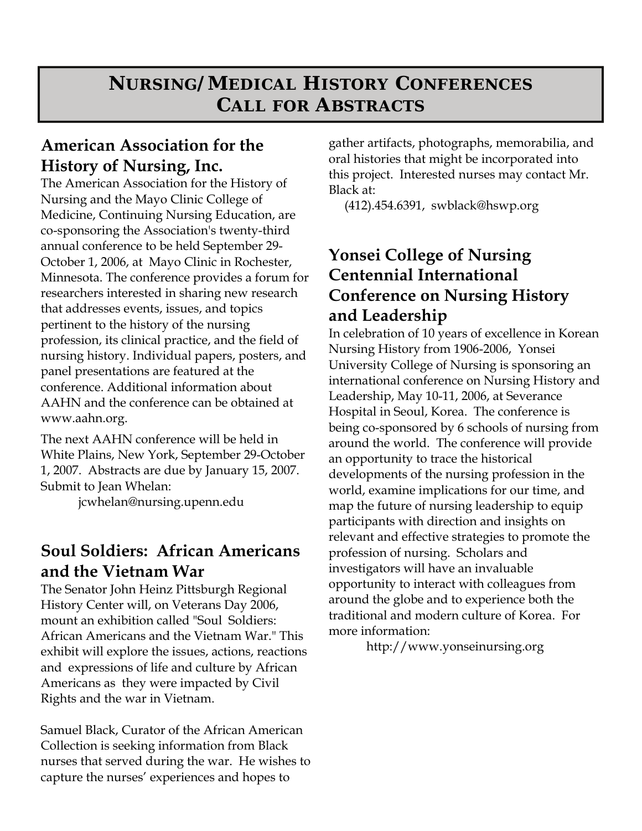## **NURSING/MEDICAL HISTORY CONFERENCES CALL FOR ABSTRACTS**

## **American Association for the History of Nursing, Inc.**

The American Association for the History of Nursing and the Mayo Clinic College of Medicine, Continuing Nursing Education, are co-sponsoring the Association's twenty-third annual conference to be held September 29- October 1, 2006, at Mayo Clinic in Rochester, Minnesota. The conference provides a forum for researchers interested in sharing new research that addresses events, issues, and topics pertinent to the history of the nursing profession, its clinical practice, and the field of nursing history. Individual papers, posters, and panel presentations are featured at the conference. Additional information about AAHN and the conference can be obtained at www.aahn.org.

The next AAHN conference will be held in White Plains, New York, September 29-October 1, 2007. Abstracts are due by January 15, 2007. Submit to Jean Whelan:

jcwhelan@nursing.upenn.edu

## **Soul Soldiers: African Americans and the Vietnam War**

The Senator John Heinz Pittsburgh Regional History Center will, on Veterans Day 2006, mount an exhibition called "Soul Soldiers: African Americans and the Vietnam War." This exhibit will explore the issues, actions, reactions and expressions of life and culture by African Americans as they were impacted by Civil Rights and the war in Vietnam.

Samuel Black, Curator of the African American Collection is seeking information from Black nurses that served during the war. He wishes to capture the nurses' experiences and hopes to

gather artifacts, photographs, memorabilia, and oral histories that might be incorporated into this project. Interested nurses may contact Mr. Black at:

(412).454.6391, swblack@hswp.org

## **Yonsei College of Nursing Centennial International Conference on Nursing History and Leadership**

In celebration of 10 years of excellence in Korean Nursing History from 1906-2006, Yonsei University College of Nursing is sponsoring an international conference on Nursing History and Leadership, May 10-11, 2006, at Severance Hospital in Seoul, Korea. The conference is being co-sponsored by 6 schools of nursing from around the world. The conference will provide an opportunity to trace the historical developments of the nursing profession in the world, examine implications for our time, and map the future of nursing leadership to equip participants with direction and insights on relevant and effective strategies to promote the profession of nursing. Scholars and investigators will have an invaluable opportunity to interact with colleagues from around the globe and to experience both the traditional and modern culture of Korea. For more information:

http://www.yonseinursing.org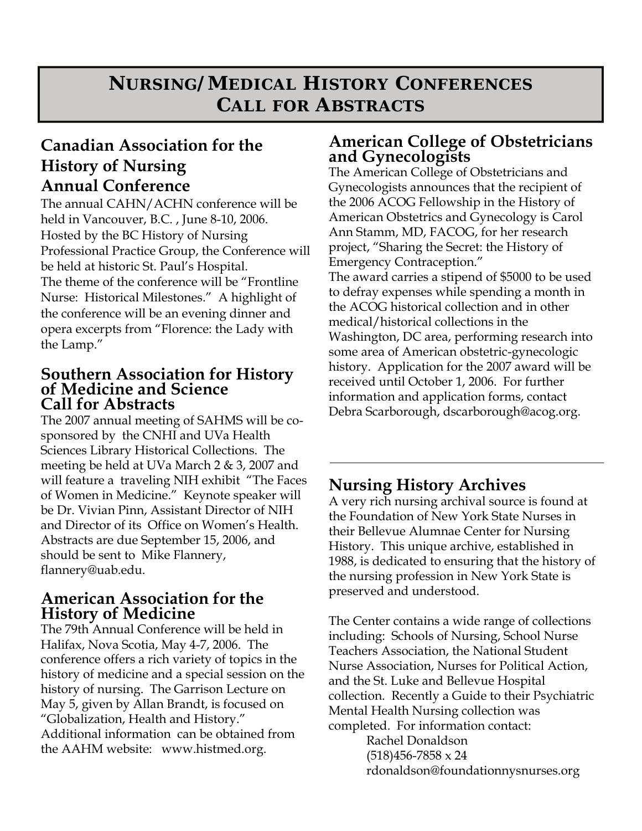## **NURSING/MEDICAL HISTORY CONFERENCES CALL FOR ABSTRACTS**

## **Canadian Association for the History of Nursing Annual Conference**

The annual CAHN/ACHN conference will be held in Vancouver, B.C. , June 8-10, 2006. Hosted by the BC History of Nursing Professional Practice Group, the Conference will be held at historic St. Paul's Hospital. The theme of the conference will be "Frontline Nurse: Historical Milestones." A highlight of the conference will be an evening dinner and opera excerpts from "Florence: the Lady with the Lamp."

#### **Southern Association for History of Medicine and Science Call for Abstracts**

The 2007 annual meeting of SAHMS will be cosponsored by the CNHI and UVa Health Sciences Library Historical Collections. The meeting be held at UVa March 2 & 3, 2007 and will feature a traveling NIH exhibit "The Faces of Women in Medicine." Keynote speaker will be Dr. Vivian Pinn, Assistant Director of NIH and Director of its Office on Women's Health. Abstracts are due September 15, 2006, and should be sent to Mike Flannery, flannery@uab.edu.

### **American Association for the History of Medicine**

The 79th Annual Conference will be held in Halifax, Nova Scotia, May 4-7, 2006. The conference offers a rich variety of topics in the history of medicine and a special session on the history of nursing. The Garrison Lecture on May 5, given by Allan Brandt, is focused on "Globalization, Health and History." Additional information can be obtained from the AAHM website: www.histmed.org.

### **American College of Obstetricians and Gynecologists**

The American College of Obstetricians and Gynecologists announces that the recipient of the 2006 ACOG Fellowship in the History of American Obstetrics and Gynecology is Carol Ann Stamm, MD, FACOG, for her research project, "Sharing the Secret: the History of Emergency Contraception." The award carries a stipend of \$5000 to be used to defray expenses while spending a month in the ACOG historical collection and in other medical/historical collections in the Washington, DC area, performing research into some area of American obstetric-gynecologic history. Application for the 2007 award will be received until October 1, 2006. For further information and application forms, contact Debra Scarborough, dscarborough@acog.org.

## **Nursing History Archives**

A very rich nursing archival source is found at the Foundation of New York State Nurses in their Bellevue Alumnae Center for Nursing History. This unique archive, established in 1988, is dedicated to ensuring that the history of the nursing profession in New York State is preserved and understood.

The Center contains a wide range of collections including: Schools of Nursing, School Nurse Teachers Association, the National Student Nurse Association, Nurses for Political Action, and the St. Luke and Bellevue Hospital collection. Recently a Guide to their Psychiatric Mental Health Nursing collection was completed. For information contact: Rachel Donaldson  $(518)456-7858 \times 24$ rdonaldson@foundationnysnurses.org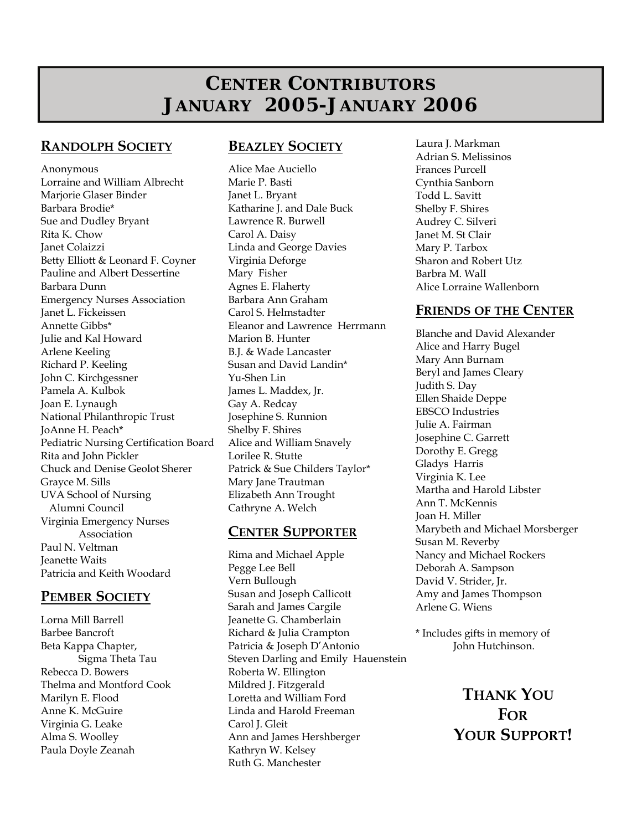## **CENTER CONTRIBUTORS JANUARY 2005-JANUARY 2006**

#### **RANDOLPH SOCIETY**

Anonymous Lorraine and William Albrecht Marjorie Glaser Binder Barbara Brodie\* Sue and Dudley Bryant Rita K. Chow Janet Colaizzi Betty Elliott & Leonard F. Coyner Pauline and Albert Dessertine Barbara Dunn Emergency Nurses Association Janet L. Fickeissen Annette Gibbs\* Julie and Kal Howard Arlene Keeling Richard P. Keeling John C. Kirchgessner Pamela A. Kulbok Joan E. Lynaugh National Philanthropic Trust JoAnne H. Peach\* Pediatric Nursing Certification Board Rita and John Pickler Chuck and Denise Geolot Sherer Grayce M. Sills UVA School of Nursing Alumni Council Virginia Emergency Nurses Association Paul N. Veltman Jeanette Waits Patricia and Keith Woodard

#### **PEMBER SOCIETY**

Lorna Mill Barrell Barbee Bancroft Beta Kappa Chapter, Sigma Theta Tau Rebecca D. Bowers Thelma and Montford Cook Marilyn E. Flood Anne K. McGuire Virginia G. Leake Alma S. Woolley Paula Doyle Zeanah

#### **BEAZLEY SOCIETY**

Alice Mae Auciello Marie P. Basti Janet L. Bryant Katharine J. and Dale Buck Lawrence R. Burwell Carol A. Daisy Linda and George Davies Virginia Deforge Mary Fisher Agnes E. Flaherty Barbara Ann Graham Carol S. Helmstadter Eleanor and Lawrence Herrmann Marion B. Hunter B.J. & Wade Lancaster Susan and David Landin\* Yu-Shen Lin James L. Maddex, Jr. Gay A. Redcay Josephine S. Runnion Shelby F. Shires Alice and William Snavely Lorilee R. Stutte Patrick & Sue Childers Taylor\* Mary Jane Trautman Elizabeth Ann Trought Cathryne A. Welch

#### **CENTER SUPPORTER**

Rima and Michael Apple Pegge Lee Bell Vern Bullough Susan and Joseph Callicott Sarah and James Cargile Jeanette G. Chamberlain Richard & Julia Crampton Patricia & Joseph D'Antonio Steven Darling and Emily Hauenstein Roberta W. Ellington Mildred J. Fitzgerald Loretta and William Ford Linda and Harold Freeman Carol J. Gleit Ann and James Hershberger Kathryn W. Kelsey Ruth G. Manchester

Laura J. Markman Adrian S. Melissinos Frances Purcell Cynthia Sanborn Todd L. Savitt Shelby F. Shires Audrey C. Silveri Janet M. St Clair Mary P. Tarbox Sharon and Robert Utz Barbra M. Wall Alice Lorraine Wallenborn

#### **FRIENDS OF THE CENTER**

Blanche and David Alexander Alice and Harry Bugel Mary Ann Burnam Beryl and James Cleary Judith S. Day Ellen Shaide Deppe EBSCO Industries Julie A. Fairman Josephine C. Garrett Dorothy E. Gregg Gladys Harris Virginia K. Lee Martha and Harold Libster Ann T. McKennis Joan H. Miller Marybeth and Michael Morsberger Susan M. Reverby Nancy and Michael Rockers Deborah A. Sampson David V. Strider, Jr. Amy and James Thompson Arlene G. Wiens

\* Includes gifts in memory of John Hutchinson.

> **THANK YOU FOR YOUR SUPPORT!**